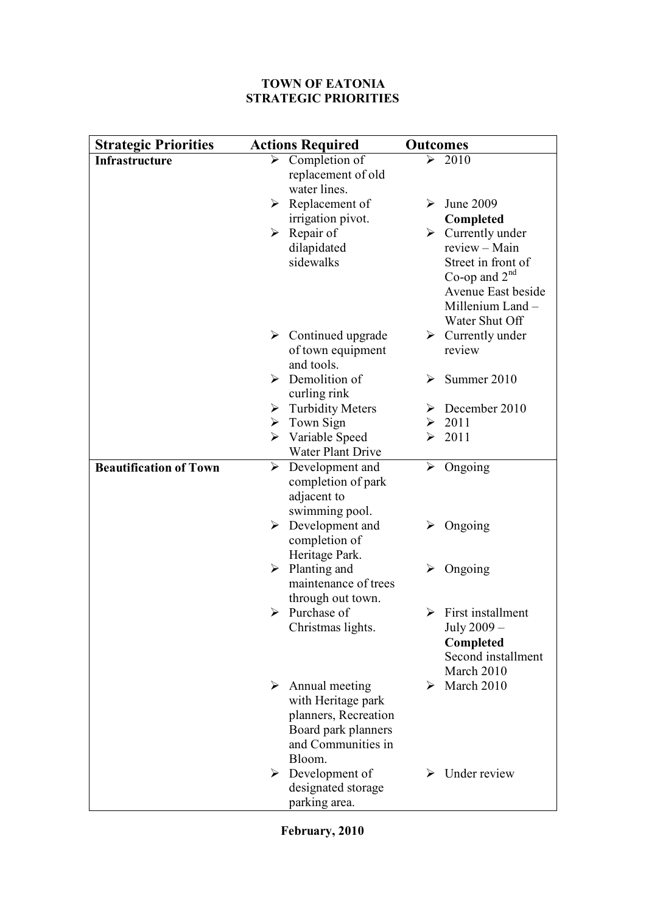## **TOWN OF EATONIA STRATEGIC PRIORITIES**

| <b>Strategic Priorities</b>   | <b>Actions Required</b>                           | <b>Outcomes</b>                    |
|-------------------------------|---------------------------------------------------|------------------------------------|
| <b>Infrastructure</b>         | Completion of<br>≻                                | ↘<br>2010                          |
|                               | replacement of old                                |                                    |
|                               | water lines.                                      |                                    |
|                               | $\triangleright$ Replacement of                   | June 2009<br>➤                     |
|                               | irrigation pivot.                                 | Completed                          |
|                               | $\triangleright$ Repair of                        | $\triangleright$ Currently under   |
|                               | dilapidated                                       | review - Main                      |
|                               | sidewalks                                         | Street in front of                 |
|                               |                                                   | Co-op and $2nd$                    |
|                               |                                                   | Avenue East beside                 |
|                               |                                                   | Millenium Land -<br>Water Shut Off |
|                               | $\triangleright$ Continued upgrade                | $\triangleright$ Currently under   |
|                               | of town equipment                                 | review                             |
|                               | and tools.                                        |                                    |
|                               | $\triangleright$ Demolition of                    | Summer 2010<br>➤                   |
|                               | curling rink                                      |                                    |
|                               | $\triangleright$ Turbidity Meters                 | December 2010<br>➤                 |
|                               | $\triangleright$ Town Sign                        | $\geq 2011$                        |
|                               | $\triangleright$ Variable Speed                   | 2011<br>➤                          |
|                               | Water Plant Drive                                 |                                    |
| <b>Beautification of Town</b> | Development and<br>➤                              | Ongoing<br>➤                       |
|                               | completion of park                                |                                    |
|                               | adjacent to                                       |                                    |
|                               | swimming pool.                                    |                                    |
|                               | $\triangleright$ Development and<br>completion of | Ongoing<br>➤                       |
|                               | Heritage Park.                                    |                                    |
|                               | $\triangleright$ Planting and                     | Ongoing<br>⋗                       |
|                               | maintenance of trees                              |                                    |
|                               | through out town.                                 |                                    |
|                               | $\triangleright$ Purchase of                      | First installment<br>➤             |
|                               | Christmas lights.                                 | July 2009 -                        |
|                               |                                                   | Completed                          |
|                               |                                                   | Second installment                 |
|                               |                                                   | March 2010                         |
|                               | $\triangleright$ Annual meeting                   | March 2010<br>➤                    |
|                               | with Heritage park                                |                                    |
|                               | planners, Recreation                              |                                    |
|                               | Board park planners<br>and Communities in         |                                    |
|                               | Bloom.                                            |                                    |
|                               | Development of<br>➤                               | Under review                       |
|                               | designated storage                                |                                    |
|                               | parking area.                                     |                                    |

**February, 2010**